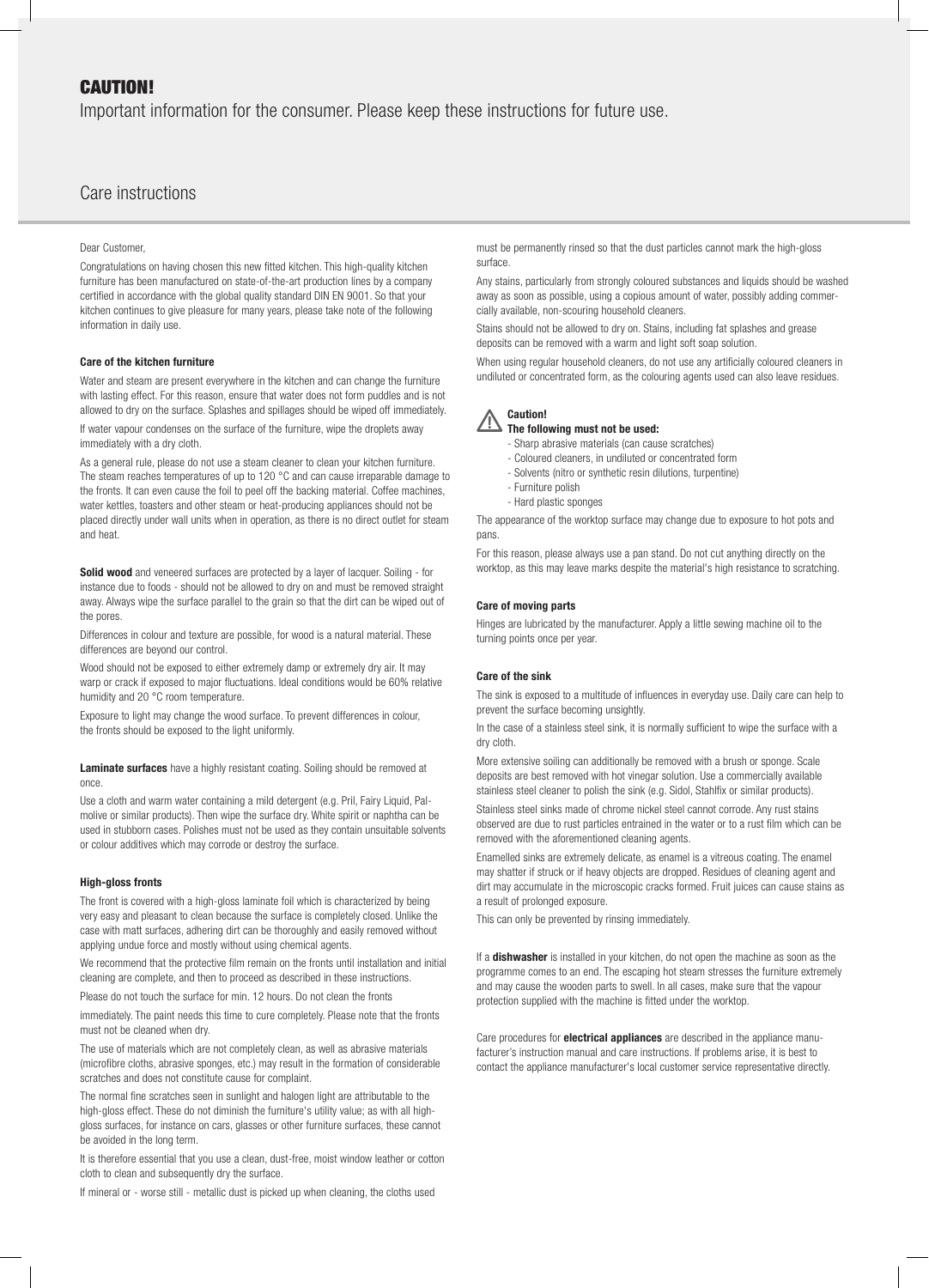## CAUTION!

Important information for the consumer. Please keep these instructions for future use.

# Care instructions

### Dear Customer,

Congratulations on having chosen this new fitted kitchen. This high-quality kitchen furniture has been manufactured on state-of-the-art production lines by a company certified in accordance with the global quality standard DIN EN 9001. So that your kitchen continues to give pleasure for many years, please take note of the following information in daily use.

## Care of the kitchen furniture

Water and steam are present everywhere in the kitchen and can change the furniture with lasting effect. For this reason, ensure that water does not form puddles and is not allowed to dry on the surface. Splashes and spillages should be wiped off immediately. If water vapour condenses on the surface of the furniture, wipe the droplets away immediately with a dry cloth.

As a general rule, please do not use a steam cleaner to clean your kitchen furniture. The steam reaches temperatures of up to 120 °C and can cause irreparable damage to the fronts. It can even cause the foil to peel off the backing material. Coffee machines, water kettles, toasters and other steam or heat-producing appliances should not be placed directly under wall units when in operation, as there is no direct outlet for steam and heat.

Solid wood and veneered surfaces are protected by a layer of lacquer. Soiling - for instance due to foods - should not be allowed to dry on and must be removed straight away. Always wipe the surface parallel to the grain so that the dirt can be wiped out of the pores.

Differences in colour and texture are possible, for wood is a natural material. These differences are beyond our control.

Wood should not be exposed to either extremely damp or extremely dry air. It may warp or crack if exposed to major fluctuations. Ideal conditions would be 60% relative humidity and 20 °C room temperature.

Exposure to light may change the wood surface. To prevent differences in colour, the fronts should be exposed to the light uniformly.

Laminate surfaces have a highly resistant coating. Soiling should be removed at once.

Use a cloth and warm water containing a mild detergent (e.g. Pril, Fairy Liquid, Palmolive or similar products). Then wipe the surface dry. White spirit or naphtha can be used in stubborn cases. Polishes must not be used as they contain unsuitable solvents or colour additives which may corrode or destroy the surface.

#### High-gloss fronts

The front is covered with a high-gloss laminate foil which is characterized by being very easy and pleasant to clean because the surface is completely closed. Unlike the case with matt surfaces, adhering dirt can be thoroughly and easily removed without applying undue force and mostly without using chemical agents.

We recommend that the protective film remain on the fronts until installation and initial cleaning are complete, and then to proceed as described in these instructions.

Please do not touch the surface for min. 12 hours. Do not clean the fronts

immediately. The paint needs this time to cure completely. Please note that the fronts must not be cleaned when dry.

The use of materials which are not completely clean, as well as abrasive materials (microfibre cloths, abrasive sponges, etc.) may result in the formation of considerable scratches and does not constitute cause for complaint.

The normal fine scratches seen in sunlight and halogen light are attributable to the high-gloss effect. These do not diminish the furniture's utility value; as with all highgloss surfaces, for instance on cars, glasses or other furniture surfaces, these cannot be avoided in the long term.

It is therefore essential that you use a clean, dust-free, moist window leather or cotton cloth to clean and subsequently dry the surface.

If mineral or - worse still - metallic dust is picked up when cleaning, the cloths used

must be permanently rinsed so that the dust particles cannot mark the high-gloss surface.

Any stains, particularly from strongly coloured substances and liquids should be washed away as soon as possible, using a copious amount of water, possibly adding commercially available, non-scouring household cleaners.

Stains should not be allowed to dry on. Stains, including fat splashes and grease deposits can be removed with a warm and light soft soap solution.

When using regular household cleaners, do not use any artificially coloured cleaners in undiluted or concentrated form, as the colouring agents used can also leave residues.

## Caution!

The following must not be used:

- Sharp abrasive materials (can cause scratches)
- Coloured cleaners, in undiluted or concentrated form - Solvents (nitro or synthetic resin dilutions, turpentine)
- Furniture polish
- Hard plastic sponges

The appearance of the worktop surface may change due to exposure to hot pots and pans

For this reason, please always use a pan stand. Do not cut anything directly on the worktop, as this may leave marks despite the material's high resistance to scratching.

## Care of moving parts

Hinges are lubricated by the manufacturer. Apply a little sewing machine oil to the turning points once per year.

#### Care of the sink

The sink is exposed to a multitude of influences in everyday use. Daily care can help to prevent the surface becoming unsightly.

In the case of a stainless steel sink, it is normally sufficient to wipe the surface with a dry cloth.

More extensive soiling can additionally be removed with a brush or sponge. Scale deposits are best removed with hot vinegar solution. Use a commercially available stainless steel cleaner to polish the sink (e.g. Sidol, Stahlfix or similar products).

Stainless steel sinks made of chrome nickel steel cannot corrode. Any rust stains observed are due to rust particles entrained in the water or to a rust film which can be removed with the aforementioned cleaning agents.

Enamelled sinks are extremely delicate, as enamel is a vitreous coating. The enamel may shatter if struck or if heavy objects are dropped. Residues of cleaning agent and dirt may accumulate in the microscopic cracks formed. Fruit juices can cause stains as a result of prolonged exposure.

This can only be prevented by rinsing immediately.

If a dishwasher is installed in your kitchen, do not open the machine as soon as the programme comes to an end. The escaping hot steam stresses the furniture extremely and may cause the wooden parts to swell. In all cases, make sure that the vapour protection supplied with the machine is fitted under the worktop.

Care procedures for **electrical appliances** are described in the appliance manufacturer's instruction manual and care instructions. If problems arise, it is best to contact the appliance manufacturer's local customer service representative directly.